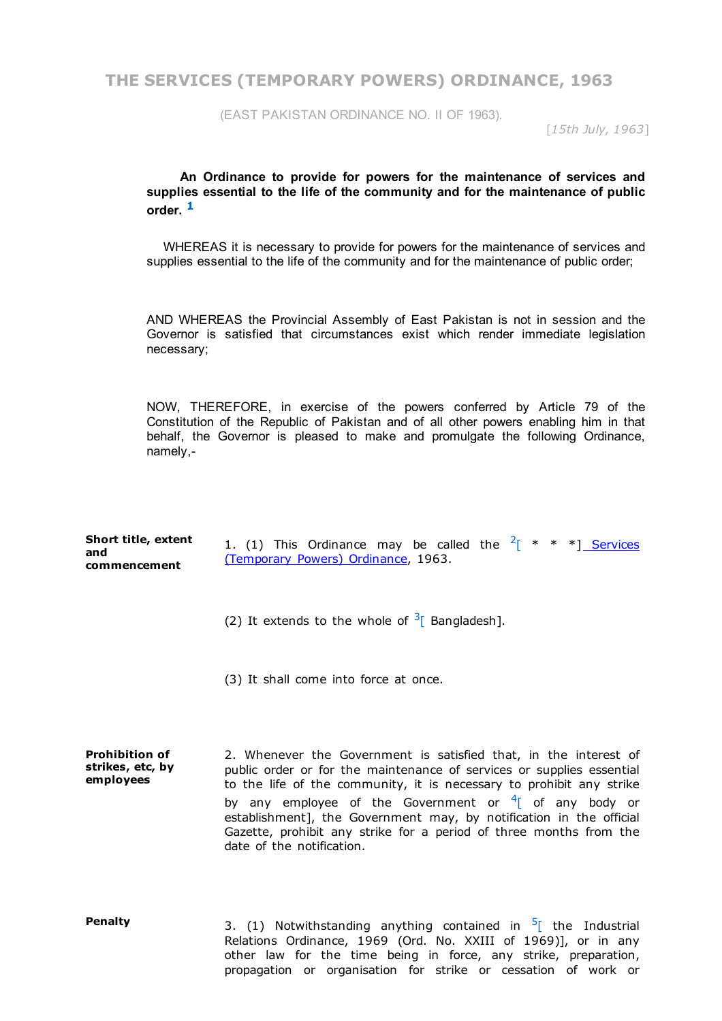**THE SERVICES (TEMPORARY POWERS) ORDINANCE, 1963**

(EAST PAKISTAN ORDINANCE NO. II OF 1963).

[*15th July, 1963*]

**An Ordinance to provide for powers for the maintenance of services and supplies essential to the life of the community and for the maintenance of public order. [1](http://bdlaws.minlaw.gov.bd/print_sections.php?id=335§ions_id=10000000)**

WHEREAS it is necessary to provide for powers for the maintenance of services and supplies essential to the life of the community and for the maintenance of public order;

AND WHEREAS the Provincial Assembly of East Pakistan is not in session and the Governor is satisfied that circumstances exist which render immediate legislation necessary;

NOW, THEREFORE, in exercise of the powers conferred by Article 79 of the Constitution of the Republic of Pakistan and of all other powers enabling him in that behalf, the Governor is pleased to make and promulgate the following Ordinance, namely,

| Short title, extent | 1. (1) This Ordinance may be called the $2^{x}$ * * *] Services |
|---------------------|-----------------------------------------------------------------|
| and                 | (Temporary Powers) Ordinance, 1963.                             |
| commencement        |                                                                 |

(2) It extends to the whole of  $3^{\circ}$  $3^{\circ}$  Bangladesh].

(3) It shall come into force at once.

**Prohibition of strikes, etc, by employees** 2. Whenever the Government is satisfied that, in the interest of public order or for the maintenance of services or supplies essential to the life of the community, it is necessary to prohibit any strike by any employee of the Government or  $4$ <sup>[</sup> of any body or establishment], the Government may, by notification in the official Gazette, prohibit any strike for a period of three months from the date of the notification.

**Penalty** 3. (1) Notwithstanding anything contained in <sup>[5](http://bdlaws.minlaw.gov.bd/print_sections.php?id=335&vol=§ions_id=17394)</sup> the Industrial Relations Ordinance, 1969 (Ord. No. XXIII of 1969)], or in any other law for the time being in force, any strike, preparation, propagation or organisation for strike or cessation of work or